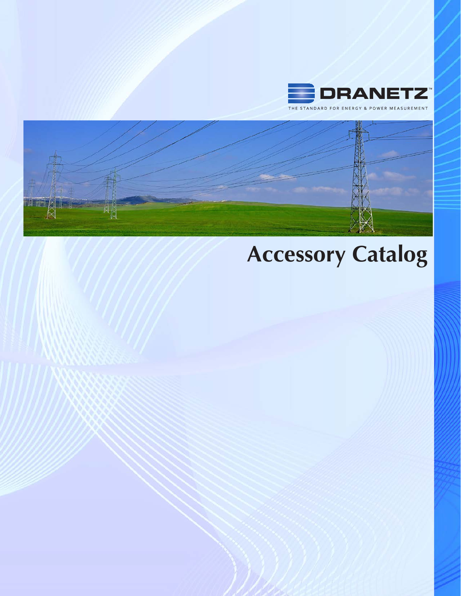

THE STANDARD FOR ENERGY & POWER MEASUREMENT



# **Accessory Catalog**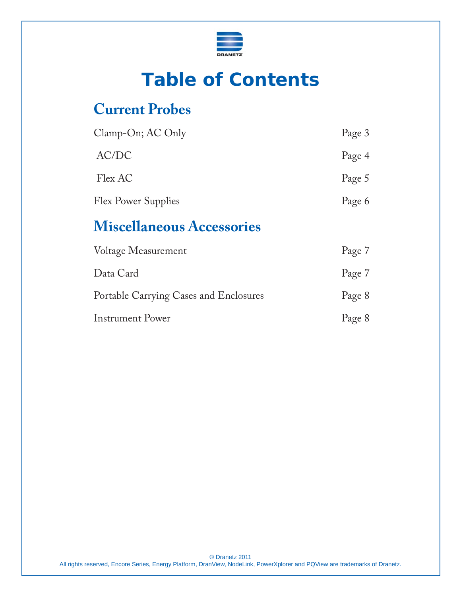

# **Table of Contents**

### **Current Probes**

| Clamp-On; AC Only          | Page 3 |
|----------------------------|--------|
| AC/DC                      | Page 4 |
| Flex AC                    | Page 5 |
| <b>Flex Power Supplies</b> | Page 6 |

### **Miscellaneous Accessories**

| Voltage Measurement                    | Page 7 |
|----------------------------------------|--------|
| Data Card                              | Page 7 |
| Portable Carrying Cases and Enclosures | Page 8 |
| <b>Instrument Power</b>                | Page 8 |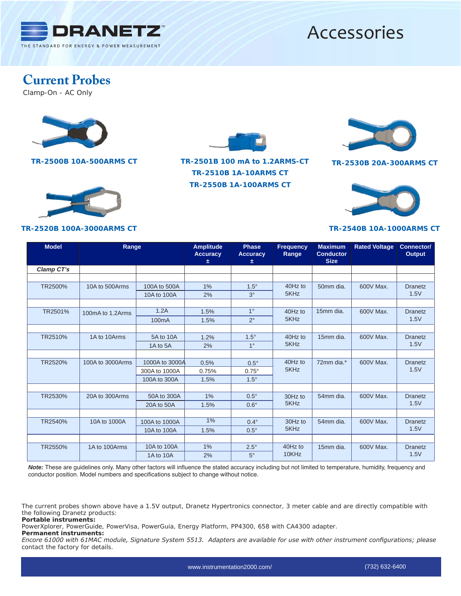

### **Current Probes**

Clamp-On - AC Only



**TR-2520B 100A-3000ARMS CT**



**TR-2500B 10A-500ARMS CT TR-2501B 100 mA to 1.2ARMS-CT TR-2550B 1A-100ARMS CT TR-2510B 1A-10ARMS CT**



**TR-2530B 20A-300ARMS CT**



#### **TR-2540B 10A-1000ARMS CT**

| <b>Model</b>   | Range            |                    | <b>Amplitude</b><br><b>Accuracy</b><br>士 | <b>Phase</b><br><b>Accuracy</b><br>士 | <b>Frequency</b><br>Range | <b>Maximum</b><br><b>Conductor</b><br><b>Size</b> | <b>Rated Voltage</b> | Connector/<br><b>Output</b> |
|----------------|------------------|--------------------|------------------------------------------|--------------------------------------|---------------------------|---------------------------------------------------|----------------------|-----------------------------|
| Clamp CT's     |                  |                    |                                          |                                      |                           |                                                   |                      |                             |
|                |                  |                    |                                          |                                      |                           |                                                   |                      |                             |
| <b>TR25000</b> | 10A to 500Arms   | 100A to 500A       | 1%                                       | $1.5^\circ$                          | 40Hz to                   | 50mm dia.                                         | 600V Max.            | <b>Dranetz</b>              |
|                |                  | 10A to 100A        | 2%                                       | $3^{\circ}$                          | 5KHz                      |                                                   |                      | 1.5V                        |
|                |                  |                    |                                          |                                      |                           |                                                   |                      |                             |
| TR2501Ó        | 100mA to 1.2Arms | 1.2A               | 1.5%                                     | $1^{\circ}$                          | 40Hz to                   | 15mm dia.                                         | 600V Max.            | <b>Dranetz</b><br>1.5V      |
|                |                  | 100 <sub>m</sub> A | 1.5%                                     | $2^{\circ}$                          | 5KHz                      |                                                   |                      |                             |
|                |                  |                    |                                          |                                      |                           |                                                   |                      |                             |
| TR2510O        | 1A to 10Arms     | 5A to 10A          | 1.2%                                     | $1.5^\circ$                          | 40Hz to<br>5KHz           | 15mm dia.                                         | 600V Max.            | <b>Dranetz</b><br>1.5V      |
|                |                  | 1A to 5A           | 2%                                       | $1^{\circ}$                          |                           |                                                   |                      |                             |
|                |                  |                    |                                          |                                      |                           |                                                   |                      |                             |
| TR25200        | 100A to 3000Arms | 1000A to 3000A     | 0.5%                                     | $0.5^\circ$                          | 40Hz to<br>5KHz           | 72mm dia.*                                        | 600V Max.            | <b>Dranetz</b><br>1.5V      |
|                |                  | 300A to 1000A      | 0.75%                                    | $0.75^\circ$                         |                           |                                                   |                      |                             |
|                |                  | 100A to 300A       | 1.5%                                     | $1.5^\circ$                          |                           |                                                   |                      |                             |
|                |                  |                    |                                          |                                      |                           |                                                   |                      |                             |
| TR25300        | 20A to 300Arms   | 50A to 300A        | 1%                                       | $0.5^\circ$                          | 30Hz to                   | 54mm dia.                                         | 600V Max.            | <b>Dranetz</b><br>1.5V      |
|                |                  | 20A to 50A         | 1.5%                                     | $0.6^\circ$                          | 5KHz                      |                                                   |                      |                             |
|                |                  |                    |                                          |                                      |                           |                                                   |                      |                             |
| TR25400        | 10A to 1000A     | 100A to 1000A      | $1\%$                                    | $0.4^\circ$                          | 30Hz to<br>5KHz           | 54mm dia.                                         | 600V Max.            | <b>Dranetz</b><br>1.5V      |
|                |                  | 10A to 100A        | 1.5%                                     | $0.5^\circ$                          |                           |                                                   |                      |                             |
|                |                  |                    |                                          |                                      |                           |                                                   |                      |                             |
| TR25500        | 1A to 100Arms    | 10A to 100A        | 1%                                       | $2.5^\circ$                          | 40Hz to<br>10KHz          | 15mm dia.                                         | 600V Max.            | <b>Dranetz</b><br>1.5V      |
|                |                  | 1A to 10A          | 2%                                       | $5^\circ$                            |                           |                                                   |                      |                             |

*Note:* These are guidelines only. Many other factors will influence the stated accuracy including but not limited to temperature, humidity, frequency and conductor position. Model numbers and specifications subject to change without notice.

*The current probes shown above have a 1.5V output, Dranetz Hypertronics connector, 3 meter cable and are directly compatible with the following Dranetz products: Portable instruments:* 

*PowerXplorer, PowerGuide, PowerVisa, PowerGuia, Energy Platform, PP4300, 658 with CA4300 adapter.*

*Permanent instruments:*

*Encore 61000 with 61MAC module, Signature System 5513. Adapters are available for use with other instrument configurations; please contact the factory for details.*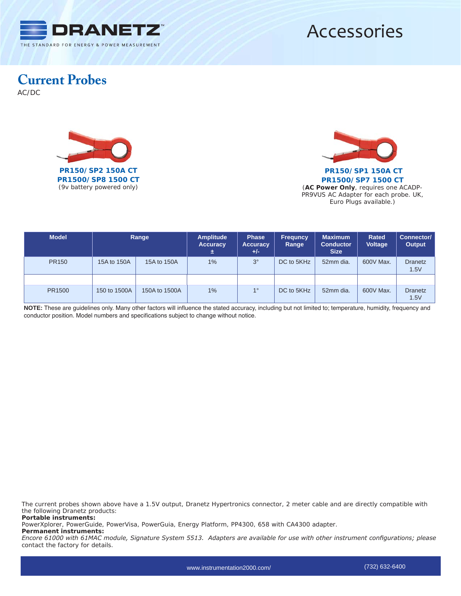

### **Current Probes**

AC/DC





**PR1500/SP7 1500 CT** *(***AC Power Only***, requires one ACADP-PR9VUS AC Adapter for each probe. UK, Euro Plugs available.)*

| <b>Model</b> | Range        |               | <b>Amplitude</b><br><b>Accuracy</b><br>士 | <b>Phase</b><br><b>Accuracy</b><br>$+/-$ | <b>Frequncy</b><br>Range | <b>Maximum</b><br><b>Conductor</b><br><b>Size</b> | <b>Rated</b><br><b>Voltage</b> | Connector/<br>Output   |
|--------------|--------------|---------------|------------------------------------------|------------------------------------------|--------------------------|---------------------------------------------------|--------------------------------|------------------------|
| <b>PR150</b> | 15A to 150A  | 15A to 150A   | $1\%$                                    | $3^\circ$                                | DC to 5KHz               | 52mm dia.                                         | 600V Max.                      | <b>Dranetz</b><br>1.5V |
|              |              |               |                                          |                                          |                          |                                                   |                                |                        |
| PR1500       | 150 to 1500A | 150A to 1500A | $1\%$                                    | $1^{\circ}$                              | DC to 5KHz               | 52mm dia.                                         | 600V Max.                      | <b>Dranetz</b><br>1.5V |

**NOTE:** These are guidelines only. Many other factors will influence the stated accuracy, including but not limited to; temperature, humidity, frequency and conductor position. Model numbers and specifications subject to change without notice.

*The current probes shown above have a 1.5V output, Dranetz Hypertronics connector, 2 meter cable and are directly compatible with the following Dranetz products: Portable instruments:*

*PowerXplorer, PowerGuide, PowerVisa, PowerGuia, Energy Platform, PP4300, 658 with CA4300 adapter.*

*Permanent instruments:*

*Encore 61000 with 61MAC module, Signature System 5513. Adapters are available for use with other instrument configurations; please contact the factory for details.*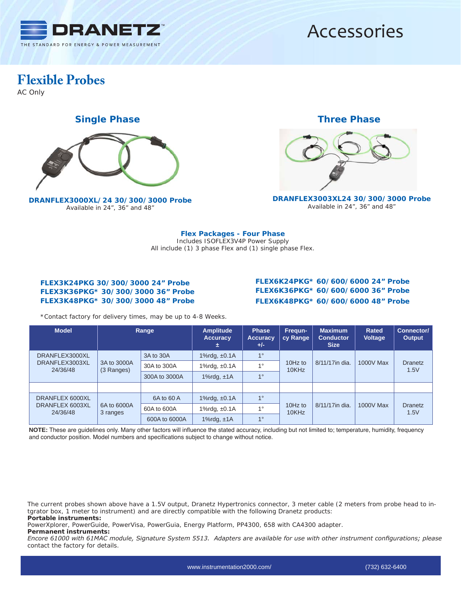

### **Flexible Probes**

AC Only

### **Single Phase Three Phase**



**DRANFLEX3000XL/24 30/300/3000 Probe** *Available in 24", 36" and 48"*



**DRANFLEX3003XL24 30/300/3000 Probe** *Available in 24", 36" and 48"*

**Flex Packages - Four Phase** *Includes ISOFLEX3V4P Power Supply All include (1) 3 phase Flex and (1) single phase Flex.*

#### **FLEX3K24PKG 30/300/3000 24" Probe FLEX3K36PKG\* 30/300/3000 36" Probe FLEX3K48PKG\* 30/300/3000 48" Probe**

#### **FLEX6K24PKG\* 60/600/6000 24" Probe FLEX6K36PKG\* 60/600/6000 36" Probe FLEX6K48PKG\* 60/600/6000 48" Probe**

*\*Contact factory for delivery times, may be up to 4-8 Weeks.*

| <b>Model</b>                                   | <b>Range</b>              |               | <b>Amplitude</b><br><b>Accuracy</b><br>÷. | <b>Phase</b><br><b>Accuracy</b><br>$+/-$ | Frequn-<br>cy Range | <b>Maximum</b><br><b>Conductor</b><br><b>Size</b> | <b>Rated</b><br>Voltage | Connector/<br><b>Output</b> |
|------------------------------------------------|---------------------------|---------------|-------------------------------------------|------------------------------------------|---------------------|---------------------------------------------------|-------------------------|-----------------------------|
| DRANFLEX3000XL<br>DRANFLEX3003XL<br>24/36/48   | 3A to 3000A<br>(3 Ranges) | 3A to 30A     | 1% $rdg, ±0.1A$                           | $1^{\circ}$                              | 10 $Hz$ to<br>10KHz |                                                   | 1000V Max               | Dranetz<br>1.5V             |
|                                                |                           | 30A to 300A   | 1%rdg, $±0.1A$                            | $1^{\circ}$                              |                     | 8/11/17in dia.                                    |                         |                             |
|                                                |                           | 300A to 3000A | 1% $rdg, \pm 1A$                          | 10                                       |                     |                                                   |                         |                             |
|                                                |                           |               |                                           |                                          |                     |                                                   |                         |                             |
| DRANFLEX 6000XL<br>DRANFLEX 6003XL<br>24/36/48 | 6A to 6000A<br>3 ranges   | 6A to 60 A    | 1% $rdg, ±0.1A$                           | $1^{\circ}$                              | 10 $Hz$ to<br>10KHz | 8/11/17in dia.                                    | 1000V Max               | Dranetz<br>1.5V             |
|                                                |                           | 60A to 600A   | 1% $rdg, ±0.1A$                           | $1^{\circ}$                              |                     |                                                   |                         |                             |
|                                                |                           | 600A to 6000A | 1% $rdg, \pm 1A$                          | $1^{\circ}$                              |                     |                                                   |                         |                             |

**NOTE:** These are guidelines only. Many other factors will influence the stated accuracy, including but not limited to; temperature, humidity, frequency and conductor position. Model numbers and specifications subject to change without notice.

*The current probes shown above have a 1.5V output, Dranetz Hypertronics connector, 3 meter cable (2 meters from probe head to intgrator box, 1 meter to instrument) and are directly compatible with the following Dranetz products: Portable instruments:*

*PowerXplorer, PowerGuide, PowerVisa, PowerGuia, Energy Platform, PP4300, 658 with CA4300 adapter.*

*Permanent instruments:* 

*Encore 61000 with 61MAC module, Signature System 5513. Adapters are available for use with other instrument configurations; please contact the factory for details.*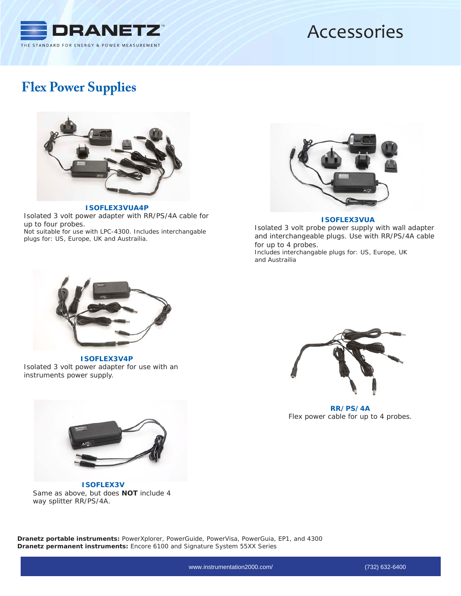

### **Flex Power Supplies**



**ISOFLEX3VUA4P** Isolated 3 volt power adapter with RR/PS/4A cable for up to four probes. *Not suitable for use with LPC-4300. Includes interchangable plugs for: US, Europe, UK and Austrailia.*



**ISOFLEX3VUA**

Isolated 3 volt probe power supply with wall adapter and interchangeable plugs. Use with RR/PS/4A cable for up to 4 probes.

*Includes interchangable plugs for: US, Europe, UK and Austrailia*



**ISOFLEX3V4P** Isolated 3 volt power adapter for use with an instruments power supply.



**ISOFLEX3V** Same as above, but does **NOT** include 4 way splitter RR/PS/4A.



**RR/PS/4A** Flex power cable for up to 4 probes.

*Dranetz portable instruments: PowerXplorer, PowerGuide, PowerVisa, PowerGuia, EP1, and 4300 Dranetz permanent instruments: Encore 6100 and Signature System 55XX Series*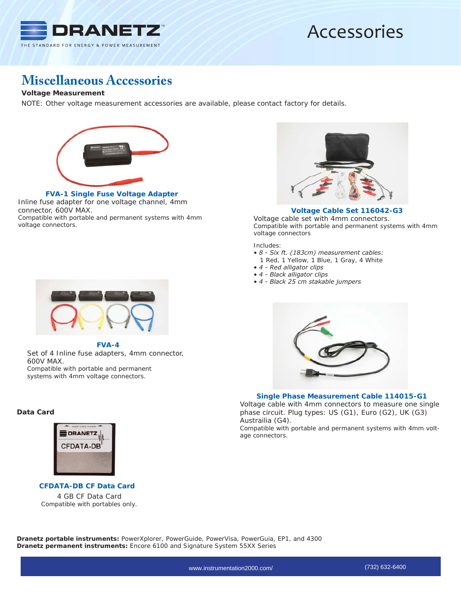

### **Miscellaneous Accessories**

#### **Voltage Measurement**

NOTE: Other voltage measurement accessories are available, please contact factory for details.



**FVA-1 Single Fuse Voltage Adapter** Inline fuse adapter for one voltage channel, 4mm

connector, 600V MAX.

*Compatible with portable and permanent systems with 4mm voltage connectors.*



**FVA-4** Set of 4 Inline fuse adapters, 4mm connector, 600V MAX. *Compatible with portable and permanent systems with 4mm voltage connectors.* 

### **Data Card**



**CFDATA-DB CF Data Card** 4 GB CF Data Card *Compatible with portables only.*



#### **Voltage Cable Set 116042-G3**

Voltage cable set with 4mm connectors. *Compatible with portable and permanent systems with 4mm voltage connectors*

*Includes:*

- *8 Six ft. (183cm) measurement cables:*
- *1 Red, 1 Yellow, 1 Blue, 1 Gray, 4 White*
- *4 Red alligator clips*
- *4 Black alligator clips*
- *4 Black 25 cm stakable jumpers*



#### **Single Phase Measurement Cable 114015-G1**

Voltage cable with 4mm connectors to measure one single phase circuit. Plug types: US (G1), Euro (G2), UK (G3) Austrailia (G4).

*Compatible with portable and permanent systems with 4mm voltage connectors.*

*Dranetz portable instruments: PowerXplorer, PowerGuide, PowerVisa, PowerGuia, EP1, and 4300 Dranetz permanent instruments: Encore 6100 and Signature System 55XX Series*